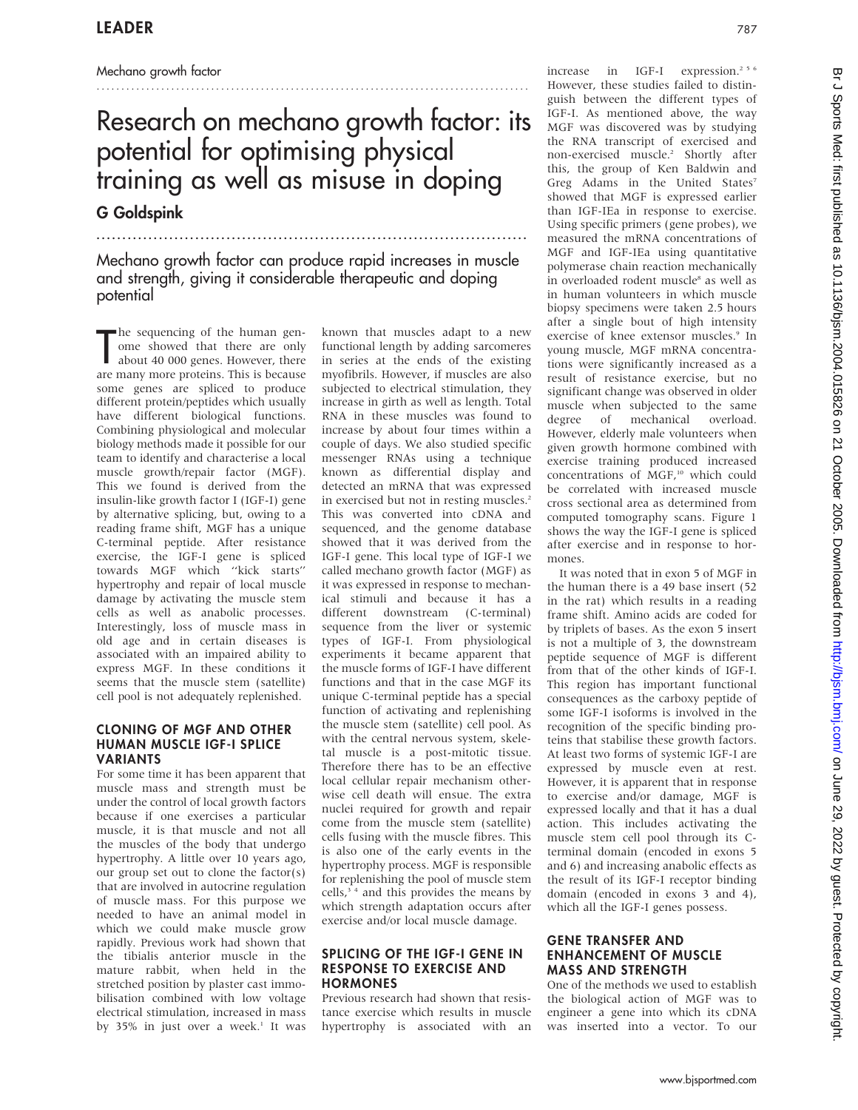## Mechano growth factor

# Research on mechano growth factor: its potential for optimising physical training as well as misuse in doping

.......................................................................................

G Goldspink

Mechano growth factor can produce rapid increases in muscle and strength, giving it considerable therapeutic and doping potential

...................................................................................

The sequencing of the human genome showed that there are only<br>about 40 000 genes. However, there<br>are many more proteins. This is because he sequencing of the human genome showed that there are only about 40 000 genes. However, there some genes are spliced to produce different protein/peptides which usually have different biological functions. Combining physiological and molecular biology methods made it possible for our team to identify and characterise a local muscle growth/repair factor (MGF). This we found is derived from the insulin-like growth factor I (IGF-I) gene by alternative splicing, but, owing to a reading frame shift, MGF has a unique C-terminal peptide. After resistance exercise, the IGF-I gene is spliced towards MGF which ''kick starts'' hypertrophy and repair of local muscle damage by activating the muscle stem cells as well as anabolic processes. Interestingly, loss of muscle mass in old age and in certain diseases is associated with an impaired ability to express MGF. In these conditions it seems that the muscle stem (satellite) cell pool is not adequately replenished.

### CLONING OF MGF AND OTHER HUMAN MUSCLE IGF-I SPLICE VARIANTS

For some time it has been apparent that muscle mass and strength must be under the control of local growth factors because if one exercises a particular muscle, it is that muscle and not all the muscles of the body that undergo hypertrophy. A little over 10 years ago, our group set out to clone the factor(s) that are involved in autocrine regulation of muscle mass. For this purpose we needed to have an animal model in which we could make muscle grow rapidly. Previous work had shown that the tibialis anterior muscle in the mature rabbit, when held in the stretched position by plaster cast immobilisation combined with low voltage electrical stimulation, increased in mass by 35% in just over a week.<sup>1</sup> It was

known that muscles adapt to a new functional length by adding sarcomeres in series at the ends of the existing myofibrils. However, if muscles are also subjected to electrical stimulation, they increase in girth as well as length. Total RNA in these muscles was found to increase by about four times within a couple of days. We also studied specific messenger RNAs using a technique known as differential display and detected an mRNA that was expressed in exercised but not in resting muscles.<sup>2</sup> This was converted into cDNA and sequenced, and the genome database showed that it was derived from the IGF-I gene. This local type of IGF-I we called mechano growth factor (MGF) as it was expressed in response to mechanical stimuli and because it has a different downstream (C-terminal) sequence from the liver or systemic types of IGF-I. From physiological experiments it became apparent that the muscle forms of IGF-I have different functions and that in the case MGF its unique C-terminal peptide has a special function of activating and replenishing the muscle stem (satellite) cell pool. As with the central nervous system, skeletal muscle is a post-mitotic tissue. Therefore there has to be an effective local cellular repair mechanism otherwise cell death will ensue. The extra nuclei required for growth and repair come from the muscle stem (satellite) cells fusing with the muscle fibres. This is also one of the early events in the hypertrophy process. MGF is responsible for replenishing the pool of muscle stem cells,<sup>34</sup> and this provides the means by which strength adaptation occurs after exercise and/or local muscle damage.

### SPLICING OF THE IGF-I GENE IN RESPONSE TO EXERCISE AND **HORMONES**

Previous research had shown that resistance exercise which results in muscle hypertrophy is associated with an

increase in IGF-I expression.<sup>256</sup> However, these studies failed to distinguish between the different types of IGF-I. As mentioned above, the way MGF was discovered was by studying the RNA transcript of exercised and non-exercised muscle.<sup>2</sup> Shortly after this, the group of Ken Baldwin and Greg Adams in the United States<sup>7</sup> showed that MGF is expressed earlier than IGF-IEa in response to exercise. Using specific primers (gene probes), we measured the mRNA concentrations of MGF and IGF-IEa using quantitative polymerase chain reaction mechanically in overloaded rodent muscle<sup>8</sup> as well as in human volunteers in which muscle biopsy specimens were taken 2.5 hours after a single bout of high intensity exercise of knee extensor muscles.<sup>9</sup> In young muscle, MGF mRNA concentrations were significantly increased as a result of resistance exercise, but no significant change was observed in older muscle when subjected to the same degree of mechanical overload. However, elderly male volunteers when given growth hormone combined with exercise training produced increased concentrations of MGF,<sup>10</sup> which could be correlated with increased muscle cross sectional area as determined from computed tomography scans. Figure 1 shows the way the IGF-I gene is spliced after exercise and in response to hormones.

It was noted that in exon 5 of MGF in the human there is a 49 base insert (52 in the rat) which results in a reading frame shift. Amino acids are coded for by triplets of bases. As the exon 5 insert is not a multiple of 3, the downstream peptide sequence of MGF is different from that of the other kinds of IGF-I. This region has important functional consequences as the carboxy peptide of some IGF-I isoforms is involved in the recognition of the specific binding proteins that stabilise these growth factors. At least two forms of systemic IGF-I are expressed by muscle even at rest. However, it is apparent that in response to exercise and/or damage, MGF is expressed locally and that it has a dual action. This includes activating the muscle stem cell pool through its Cterminal domain (encoded in exons 5 and 6) and increasing anabolic effects as the result of its IGF-I receptor binding domain (encoded in exons 3 and 4), which all the IGF-I genes possess.

### GENE TRANSFER AND ENHANCEMENT OF MUSCLE MASS AND STRENGTH

One of the methods we used to establish the biological action of MGF was to engineer a gene into which its cDNA was inserted into a vector. To our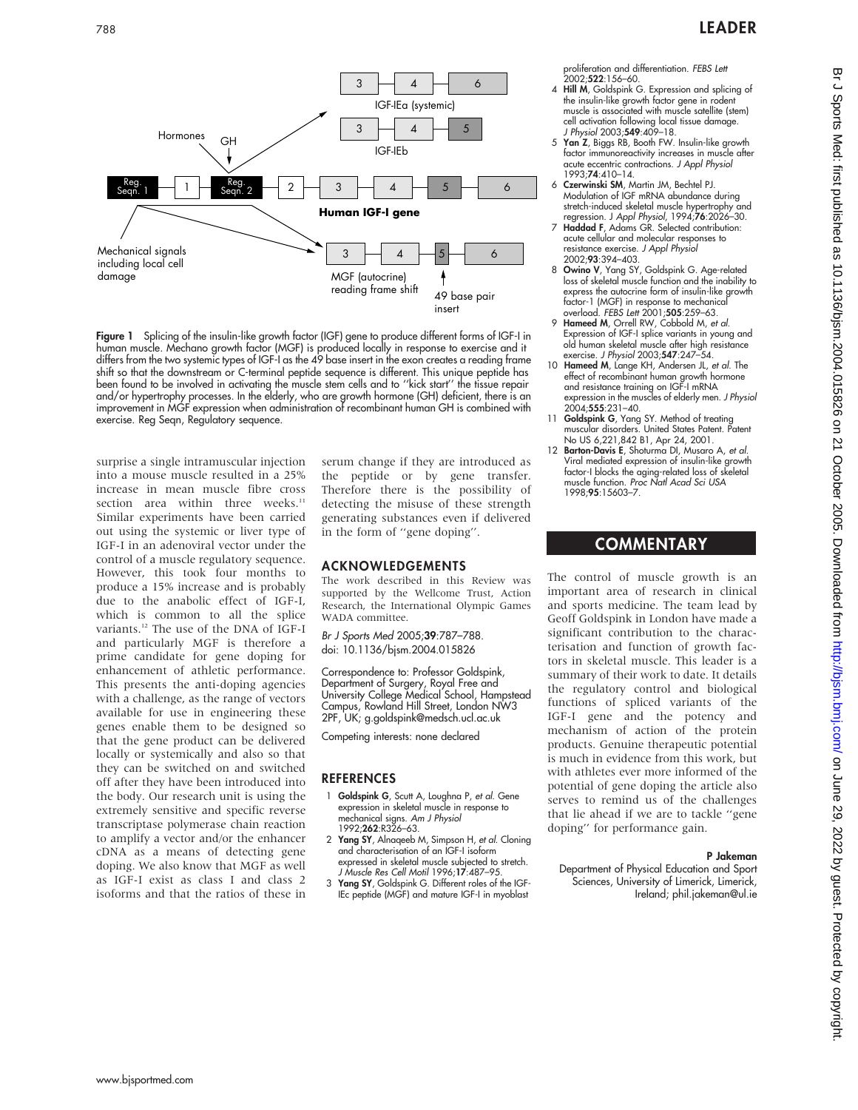



Figure 1 Splicing of the insulin-like growth factor (IGF) gene to produce different forms of IGF-I in human muscle. Mechano growth factor (MGF) is produced locally in response to exercise and it differs from the two systemic types of IGF-I as the 49 base insert in the exon creates a reading frame shift so that the downstream or C-terminal peptide sequence is different. This unique peptide has been found to be involved in activating the muscle stem cells and to ''kick start'' the tissue repair and/or hypertrophy processes. In the elderly, who are growth hormone (GH) deficient, there is an improvement in MGF expression when administration of recombinant human GH is combined with exercise. Reg Seqn, Regulatory sequence.

surprise a single intramuscular injection into a mouse muscle resulted in a 25% increase in mean muscle fibre cross section area within three weeks.<sup>11</sup> Similar experiments have been carried out using the systemic or liver type of IGF-I in an adenoviral vector under the control of a muscle regulatory sequence. However, this took four months to produce a 15% increase and is probably due to the anabolic effect of IGF-I, which is common to all the splice variants.12 The use of the DNA of IGF-I and particularly MGF is therefore a prime candidate for gene doping for enhancement of athletic performance. This presents the anti-doping agencies with a challenge, as the range of vectors available for use in engineering these genes enable them to be designed so that the gene product can be delivered locally or systemically and also so that they can be switched on and switched off after they have been introduced into the body. Our research unit is using the extremely sensitive and specific reverse transcriptase polymerase chain reaction to amplify a vector and/or the enhancer cDNA as a means of detecting gene doping. We also know that MGF as well as IGF-I exist as class I and class 2 isoforms and that the ratios of these in

serum change if they are introduced as the peptide or by gene transfer. Therefore there is the possibility of detecting the misuse of these strength generating substances even if delivered in the form of ''gene doping''.

#### ACKNOWLEDGEMENTS

The work described in this Review was supported by the Wellcome Trust, Action Research, the International Olympic Games WADA committee.

Br J Sports Med 2005;39:787-788. doi: 10.1136/bjsm.2004.015826

Correspondence to: Professor Goldspink, Department of Surgery, Royal Free and University College Medical School, Hampstead Campus, Rowland Hill Street, London NW3 2PF, UK; g.goldspink@medsch.ucl.ac.uk

Competing interests: none declared

## **REFERENCES**

- 1 Goldspink G, Scutt A, Loughna P, et al. Gene expression in skeletal muscle in response to mechanical signs. Am J Physiol 1992;**262**:R326–63.
- 2 Yang SY, Alnaqeeb M, Simpson H, et al. Cloning and characterisation of an IGF-I isoform expressed in skeletal muscle subjected to stretch. J Muscle Res Cell Motil 1996;17:487–95.
- 3 Yang SY, Goldspink G. Different roles of the IGF-IEc peptide (MGF) and mature IGF-I in myoblast

proliferation and differentiation. FEBS Lett 2002;522:156–60.

- 4 Hill M, Goldspink G. Expression and splicing of the insulin-like growth factor gene in rodent muscle is associated with muscle satellite (stem) cell activation following local tissue damage. J Physiol 2003;549:409–18.
- 5 Yan Z, Biggs RB, Booth FW. Insulin-like growth factor immunoreactivity increases in muscle after acute eccentric contractions. J Appl Physiol 1993;74:410–14.
- 6 Czerwinski SM, Martin JM, Bechtel PJ. Modulation of IGF mRNA abundance during stretch-induced skeletal muscle hypertrophy and regression. J Appl Physiol, 1994;76:2026–30.
- 7 Haddad F, Adams GR. Selected contribution: acute cellular and molecular responses to resistance exercise. J Appl Physiol 2002;93:394–403.
- 8 Owino V, Yang SY, Goldspink G. Age-related loss of skeletal muscle function and the inability to express the autocrine form of insulin-like growth factor-1 (MGF) in response to mechanical overload. FEBS Lett 2001;505:259–63.
- 9 Hameed M, Orrell RW, Cobbold M, et al. Expression of IGF-I splice variants in young and old human skeletal muscle after high resistance exercise. J Physiol 2003;547:247-54.
- 10 Hameed M, Lange KH, Andersen JL, et al. The effect of recombinant human growth hormone and resistance training on IGF-I mRNA expression in the muscles of elderly men. J Physiol 2004;555:231–40.
- 11 Goldspink G, Yang SY. Method of treating muscular disorders. United States Patent. Patent No US 6,221,842 B1, Apr 24, 2001.
- 12 Barton-Davis E, Shoturma DI, Musaro A, et al. Viral mediated expression of insulin-like growth<br>factor-I blocks the aging-related loss of skeletal<br>muscle function. *Proc Natl Acad Sci USA* 1998;95:15603–7.

## **COMMENTARY**

The control of muscle growth is an important area of research in clinical and sports medicine. The team lead by Geoff Goldspink in London have made a significant contribution to the characterisation and function of growth factors in skeletal muscle. This leader is a summary of their work to date. It details the regulatory control and biological functions of spliced variants of the IGF-I gene and the potency and mechanism of action of the protein products. Genuine therapeutic potential is much in evidence from this work, but with athletes ever more informed of the potential of gene doping the article also serves to remind us of the challenges that lie ahead if we are to tackle ''gene doping'' for performance gain.

#### P Jakeman

Department of Physical Education and Sport Sciences, University of Limerick, Limerick, Ireland; phil.jakeman@ul.ie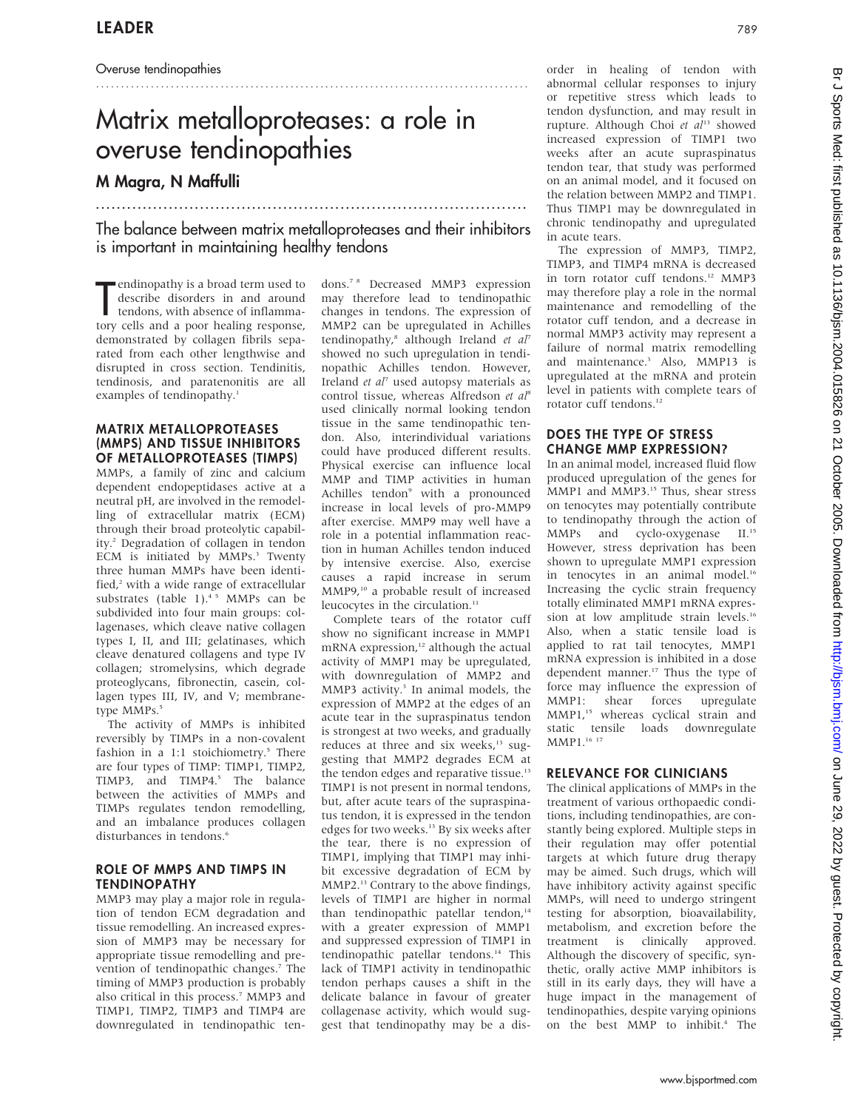## Overuse tendinopathies

# Matrix metalloproteases: a role in overuse tendinopathies

# M Magra, N Maffulli

# The balance between matrix metalloproteases and their inhibitors is important in maintaining healthy tendons

...................................................................................

.......................................................................................

endinopathy is a broad term used to<br>describe disorders in and around<br>tendons, with absence of inflamma-<br>tory cells and a poor healing response, endinopathy is a broad term used to describe disorders in and around tendons, with absence of inflammademonstrated by collagen fibrils separated from each other lengthwise and disrupted in cross section. Tendinitis, tendinosis, and paratenonitis are all examples of tendinopathy.<sup>1</sup>

#### MATRIX METALLOPROTEASES (MMPS) AND TISSUE INHIBITORS OF METALLOPROTEASES (TIMPS)

MMPs, a family of zinc and calcium dependent endopeptidases active at a neutral pH, are involved in the remodelling of extracellular matrix (ECM) through their broad proteolytic capability.2 Degradation of collagen in tendon ECM is initiated by MMPs.<sup>3</sup> Twenty three human MMPs have been identified,<sup>2</sup> with a wide range of extracellular substrates (table 1). $45$  MMPs can be subdivided into four main groups: collagenases, which cleave native collagen types I, II, and III; gelatinases, which cleave denatured collagens and type IV collagen; stromelysins, which degrade proteoglycans, fibronectin, casein, collagen types III, IV, and V; membranetype MMPs.<sup>5</sup>

The activity of MMPs is inhibited reversibly by TIMPs in a non-covalent fashion in a 1:1 stoichiometry. $5$  There are four types of TIMP: TIMP1, TIMP2, TIMP3, and TIMP4.<sup>5</sup> The balance between the activities of MMPs and TIMPs regulates tendon remodelling, and an imbalance produces collagen disturbances in tendons.<sup>6</sup>

## ROLE OF MMPS AND TIMPS IN **TENDINOPATHY**

MMP3 may play a major role in regulation of tendon ECM degradation and tissue remodelling. An increased expression of MMP3 may be necessary for appropriate tissue remodelling and prevention of tendinopathic changes.7 The timing of MMP3 production is probably also critical in this process.7 MMP3 and TIMP1, TIMP2, TIMP3 and TIMP4 are downregulated in tendinopathic tendons.7 8 Decreased MMP3 expression may therefore lead to tendinopathic changes in tendons. The expression of MMP2 can be upregulated in Achilles tendinopathy, $^8$  although Ireland et al<sup>7</sup> showed no such upregulation in tendinopathic Achilles tendon. However, Ireland et  $a^{\dagger}$  used autopsy materials as control tissue, whereas Alfredson et al<sup>8</sup> used clinically normal looking tendon tissue in the same tendinopathic tendon. Also, interindividual variations could have produced different results. Physical exercise can influence local MMP and TIMP activities in human Achilles tendon<sup>9</sup> with a pronounced increase in local levels of pro-MMP9 after exercise. MMP9 may well have a role in a potential inflammation reaction in human Achilles tendon induced by intensive exercise. Also, exercise causes a rapid increase in serum MMP9,10 a probable result of increased leucocytes in the circulation.<sup>11</sup>

Complete tears of the rotator cuff show no significant increase in MMP1 mRNA expression, $12$  although the actual activity of MMP1 may be upregulated, with downregulation of MMP2 and MMP3 activity.<sup>3</sup> In animal models, the expression of MMP2 at the edges of an acute tear in the supraspinatus tendon is strongest at two weeks, and gradually reduces at three and six weeks, $13$  suggesting that MMP2 degrades ECM at the tendon edges and reparative tissue.<sup>13</sup> TIMP1 is not present in normal tendons, but, after acute tears of the supraspinatus tendon, it is expressed in the tendon edges for two weeks.13 By six weeks after the tear, there is no expression of TIMP1, implying that TIMP1 may inhibit excessive degradation of ECM by MMP2.13 Contrary to the above findings, levels of TIMP1 are higher in normal than tendinopathic patellar tendon,<sup>14</sup> with a greater expression of MMP1 and suppressed expression of TIMP1 in tendinopathic patellar tendons.<sup>14</sup> This lack of TIMP1 activity in tendinopathic tendon perhaps causes a shift in the delicate balance in favour of greater collagenase activity, which would suggest that tendinopathy may be a disorder in healing of tendon with abnormal cellular responses to injury or repetitive stress which leads to tendon dysfunction, and may result in rupture. Although Choi et  $a^{l_13}$  showed increased expression of TIMP1 two weeks after an acute supraspinatus tendon tear, that study was performed on an animal model, and it focused on the relation between MMP2 and TIMP1. Thus TIMP1 may be downregulated in chronic tendinopathy and upregulated in acute tears.

The expression of MMP3, TIMP2, TIMP3, and TIMP4 mRNA is decreased in torn rotator cuff tendons.<sup>12</sup> MMP3 may therefore play a role in the normal maintenance and remodelling of the rotator cuff tendon, and a decrease in normal MMP3 activity may represent a failure of normal matrix remodelling and maintenance.<sup>3</sup> Also, MMP13 is upregulated at the mRNA and protein level in patients with complete tears of rotator cuff tendons.12

## DOES THE TYPE OF STRESS CHANGE MMP EXPRESSION?

In an animal model, increased fluid flow produced upregulation of the genes for MMP1 and MMP3.<sup>15</sup> Thus, shear stress on tenocytes may potentially contribute to tendinopathy through the action of MMPs and cyclo-oxygenase II.<sup>15</sup> However, stress deprivation has been shown to upregulate MMP1 expression in tenocytes in an animal model.<sup>16</sup> Increasing the cyclic strain frequency totally eliminated MMP1 mRNA expression at low amplitude strain levels.<sup>16</sup> Also, when a static tensile load is applied to rat tail tenocytes, MMP1 mRNA expression is inhibited in a dose dependent manner. $17$  Thus the type of force may influence the expression of MMP1: shear forces upregulate MMP1,<sup>15</sup> whereas cyclical strain and static tensile loads downregulate MMP1.<sup>16</sup> 17

## RELEVANCE FOR CLINICIANS

The clinical applications of MMPs in the treatment of various orthopaedic conditions, including tendinopathies, are constantly being explored. Multiple steps in their regulation may offer potential targets at which future drug therapy may be aimed. Such drugs, which will have inhibitory activity against specific MMPs, will need to undergo stringent testing for absorption, bioavailability, metabolism, and excretion before the treatment is clinically approved. Although the discovery of specific, synthetic, orally active MMP inhibitors is still in its early days, they will have a huge impact in the management of tendinopathies, despite varying opinions on the best MMP to inhibit.<sup>4</sup> The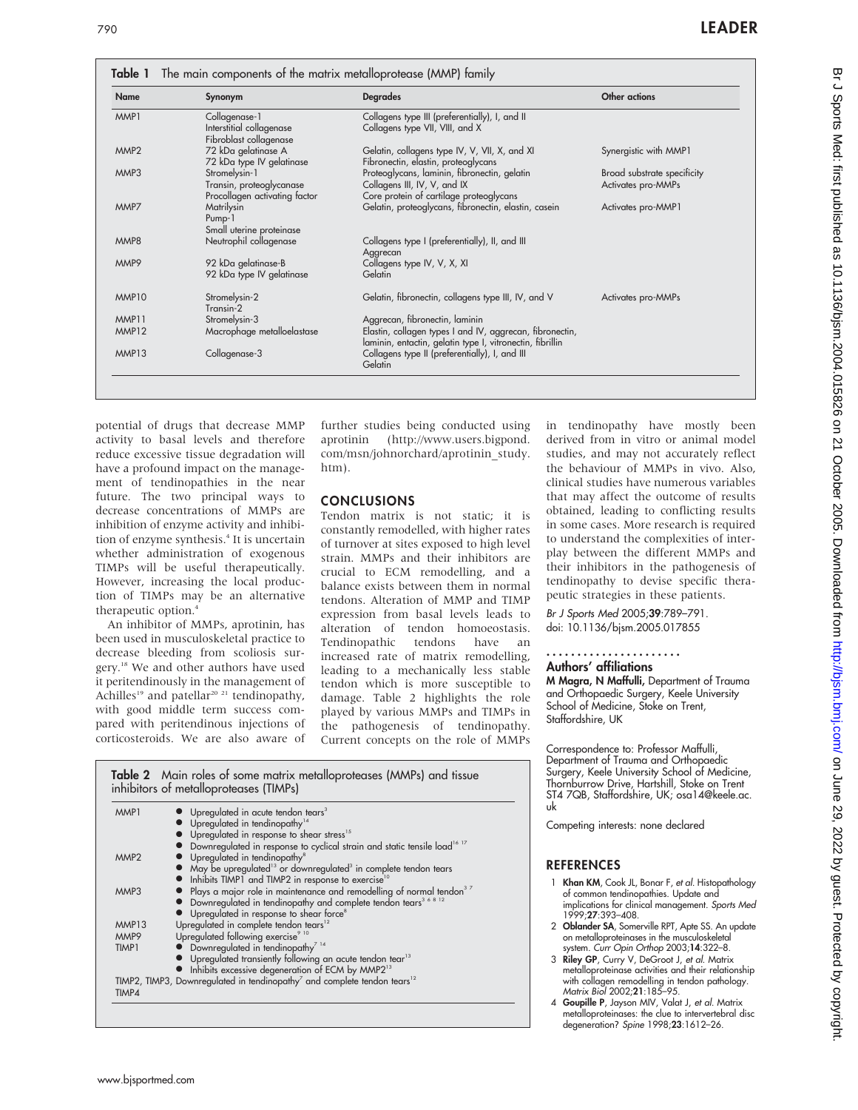| Name             | Synonym                       | <b>Degrades</b>                                           | Other actions               |
|------------------|-------------------------------|-----------------------------------------------------------|-----------------------------|
| MMP1             | Collagenase-1                 | Collagens type III (preferentially), I, and II            |                             |
|                  | Interstitial collagenase      | Collagens type VII, VIII, and X                           |                             |
|                  | Fibroblast collagenase        |                                                           |                             |
| MMP <sub>2</sub> | 72 kDa gelatinase A           | Gelatin, collagens type IV, V, VII, X, and XI             | Synergistic with MMP1       |
|                  | 72 kDa type IV gelatinase     | Fibronectin, elastin, proteoglycans                       |                             |
| MMP3             | Stromelysin-1                 | Proteoglycans, laminin, fibronectin, gelatin              | Broad substrate specificity |
|                  | Transin, proteoglycanase      | Collagens III, IV, V, and IX                              | Activates pro-MMPs          |
|                  | Procollagen activating factor | Core protein of cartilage proteoglycans                   |                             |
| MMP7             | Matrilysin                    | Gelatin, proteoglycans, fibronectin, elastin, casein      | Activates pro-MMP1          |
|                  | Pump-1                        |                                                           |                             |
|                  | Small uterine proteinase      |                                                           |                             |
| MMP8             | Neutrophil collagenase        | Collagens type I (preferentially), II, and III            |                             |
|                  |                               | Aggrecan                                                  |                             |
| MMP9             | 92 kDa gelatinase-B           | Collagens type IV, V, X, XI                               |                             |
|                  | 92 kDa type IV gelatinase     | Gelatin                                                   |                             |
| MMP10            | Stromelysin-2                 | Gelatin, fibronectin, collagens type III, IV, and V       | Activates pro-MMPs          |
|                  | Transin-2                     |                                                           |                             |
| MMP11            | Stromelysin-3                 | Aggrecan, fibronectin, laminin                            |                             |
| MMP12            | Macrophage metalloelastase    | Elastin, collagen types I and IV, aggrecan, fibronectin,  |                             |
|                  |                               | laminin, entactin, gelatin type I, vitronectin, fibrillin |                             |
| MMP13            | Collagenase-3                 | Collagens type II (preferentially), I, and III            |                             |
|                  |                               | Gelatin                                                   |                             |

potential of drugs that decrease MMP activity to basal levels and therefore reduce excessive tissue degradation will have a profound impact on the management of tendinopathies in the near future. The two principal ways to decrease concentrations of MMPs are inhibition of enzyme activity and inhibition of enzyme synthesis.<sup>4</sup> It is uncertain whether administration of exogenous TIMPs will be useful therapeutically. However, increasing the local production of TIMPs may be an alternative therapeutic option.<sup>4</sup>

An inhibitor of MMPs, aprotinin, has been used in musculoskeletal practice to decrease bleeding from scoliosis surgery.18 We and other authors have used it peritendinously in the management of Achilles<sup>19</sup> and patellar<sup>20</sup><sup>21</sup> tendinopathy, with good middle term success compared with peritendinous injections of corticosteroids. We are also aware of

inhibitors of metalloproteases (TIMPs)

MMP1 <br> **O** Upregulated in tending pathward in tendon tears<sup>3</sup> Upregulated in tendinopathy<sup>1</sup> • Upregulated in response to shear stress<sup>15</sup>

MMP2 Upregulated in tendinopathy<sup>8</sup>

 $MMP13$  Upregulated in complete tendon tears<sup>1</sup><br> $MMP9$  Upregulated following exercise<sup>910</sup> MMP9 Upregulated following exercise<sup>9 10</sup><br>TIMP1  $\bullet$  Downregulated in tendinopath

Table 2 Main roles of some matrix metalloproteases (MMPs) and tissue

■ Downregulated in response to cyclical strain and static tensile load<sup>16 17</sup><br>● Upregulated in tendinopathy<sup>8</sup>

 $\bullet$  May be upregulated<sup>13</sup> or downregulated<sup>3</sup> in complete tendon tears

Inhibits TIMP1 and TIMP2 in response to exercise<sup>10</sup> MMP3 <br>
• Plays a major role in maintenance and remodelling of normal tendon<sup>37</sup><br>
• Downregulated in tendinopathy and complete tendon tears<sup>36812</sup> Downregulated in tendinopathy and complete tendon tears<sup>3</sup>

**•** Upregulated transiently following an acute tendon tear<sup>13</sup> • Inhibits excessive degeneration of ECM by MMP2<sup>13</sup> TIMP2, TIMP3, Downregulated in tendinopathy<sup>7</sup> and complete tendon tears<sup>12</sup>

**•** Upregulated in response to shear force<sup>8</sup>

• Downregulated in tendinopathy<sup>7</sup> <sup>14</sup><br>• Unregulated transiently following

further studies being conducted using aprotinin (http://www.users.bigpond. com/msn/johnorchard/aprotinin\_study. htm).

## CONCLUSIONS

Tendon matrix is not static; it is constantly remodelled, with higher rates of turnover at sites exposed to high level strain. MMPs and their inhibitors are crucial to ECM remodelling, and a balance exists between them in normal tendons. Alteration of MMP and TIMP expression from basal levels leads to alteration of tendon homoeostasis. Tendinopathic tendons have an increased rate of matrix remodelling, leading to a mechanically less stable tendon which is more susceptible to damage. Table 2 highlights the role played by various MMPs and TIMPs in the pathogenesis of tendinopathy. Current concepts on the role of MMPs in tendinopathy have mostly been derived from in vitro or animal model studies, and may not accurately reflect the behaviour of MMPs in vivo. Also, clinical studies have numerous variables that may affect the outcome of results obtained, leading to conflicting results in some cases. More research is required to understand the complexities of interplay between the different MMPs and their inhibitors in the pathogenesis of tendinopathy to devise specific therapeutic strategies in these patients.

Br J Sports Med 2005;39:789–791. doi: 10.1136/bjsm.2005.017855

# Authors' affiliations

......................

M Magra, N Maffulli, Department of Trauma and Orthopaedic Surgery, Keele University School of Medicine, Stoke on Trent, Staffordshire, UK

Correspondence to: Professor Maffulli, Department of Trauma and Orthopaedic Surgery, Keele University School of Medicine, Thornburrow Drive, Hartshill, Stoke on Trent ST4 7QB, Staffordshire, UK; osa14@keele.ac. uk

Competing interests: none declared

## **REFERENCES**

- 1 Khan KM, Cook JL, Bonar F, et al. Histopathology of common tendinopathies. Update and implications for clinical management. *Sports Med*<br>1999;**27**:393–408.
- 2 Oblander SA, Somerville RPT, Apte SS. An update on metalloproteinases in the musculoskeletal system. Curr Opin Orthop 2003;14:322–8.
- 3 Riley GP, Curry V, DeGroot J, et al. Matrix metalloproteinase activities and their relationship with collagen remodelling in tendon pathology. Matrix Biol 2002;21:185–95.
- 4 Goupille P, Jayson MIV, Valat J, et al. Matrix metalloproteinases: the clue to intervertebral disc degeneration? Spine 1998;23:1612–26.

TIMP4